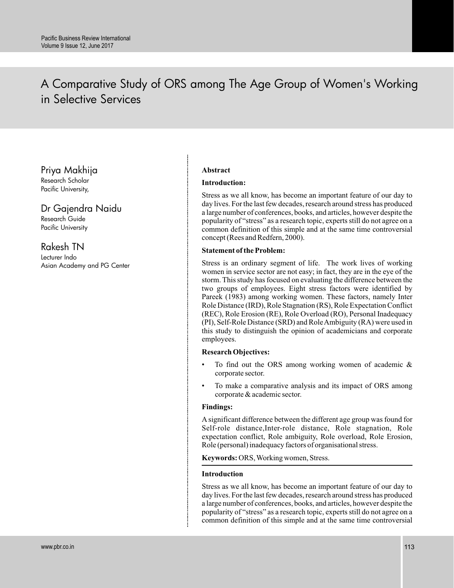# A Comparative Study of ORS among The Age Group of Women's Working in Selective Services

Priya Makhija

Research Scholar Pacific University,

# Dr Gajendra Naidu

Research Guide Pacific University

## Rakesh TN

Lecturer Indo Asian Academy and PG Center

## **Abstract**

## **Introduction:**

Stress as we all know, has become an important feature of our day to day lives. For the last few decades, research around stress has produced a large number of conferences, books, and articles, however despite the popularity of "stress" as a research topic, experts still do not agree on a common definition of this simple and at the same time controversial concept (Rees and Redfern, 2000).

## **Statement of the Problem:**

Stress is an ordinary segment of life. The work lives of working women in service sector are not easy; in fact, they are in the eye of the storm. This study has focused on evaluating the difference between the two groups of employees. Eight stress factors were identified by Pareek (1983) among working women. These factors, namely Inter Role Distance (IRD), Role Stagnation (RS), Role Expectation Conflict (REC), Role Erosion (RE), Role Overload (RO), Personal Inadequacy (PI), Self-Role Distance (SRD) and RoleAmbiguity (RA) were used in this study to distinguish the opinion of academicians and corporate employees.

## **Research Objectives:**

- To find out the ORS among working women of academic  $\&$ corporate sector.
- To make a comparative analysis and its impact of ORS among corporate & academic sector.

## **Findings:**

A significant difference between the different age group was found for Self-role distance,Inter-role distance, Role stagnation, Role expectation conflict, Role ambiguity, Role overload, Role Erosion, Role (personal) inadequacy factors of organisational stress.

**Keywords:** ORS, Working women, Stress.

## **Introduction**

Stress as we all know, has become an important feature of our day to day lives. For the last few decades, research around stress has produced a large number of conferences, books, and articles, however despite the popularity of "stress" as a research topic, experts still do not agree on a common definition of this simple and at the same time controversial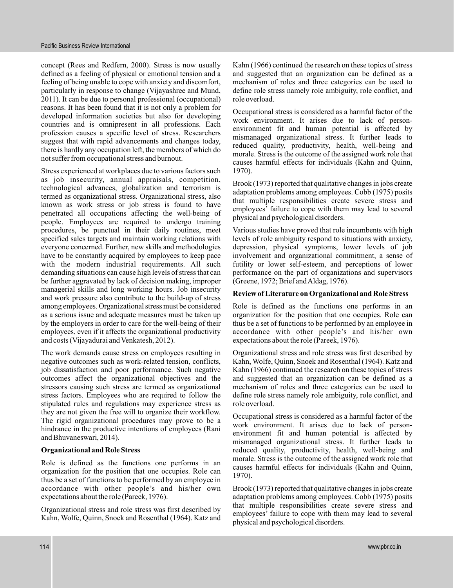concept (Rees and Redfern, 2000). Stress is now usually defined as a feeling of physical or emotional tension and a feeling of being unable to cope with anxiety and discomfort, particularly in response to change (Vijayashree and Mund, 2011). It can be due to personal professional (occupational) reasons. It has been found that it is not only a problem for developed information societies but also for developing countries and is omnipresent in all professions. Each profession causes a specific level of stress. Researchers suggest that with rapid advancements and changes today, there is hardly any occupation left, the members of which do not suffer from occupational stress and burnout.

Stress experienced at workplaces due to various factors such as job insecurity, annual appraisals, competition, technological advances, globalization and terrorism is termed as organizational stress. Organizational stress, also known as work stress or job stress is found to have penetrated all occupations affecting the well-being of people. Employees are required to undergo training procedures, be punctual in their daily routines, meet specified sales targets and maintain working relations with everyone concerned. Further, new skills and methodologies have to be constantly acquired by employees to keep pace with the modern industrial requirements. All such demanding situations can cause high levels of stress that can be further aggravated by lack of decision making, improper managerial skills and long working hours. Job insecurity and work pressure also contribute to the build-up of stress among employees. Organizational stress must be considered as a serious issue and adequate measures must be taken up by the employers in order to care for the well-being of their employees, even if it affects the organizational productivity and costs (Vijayadurai and Venkatesh, 2012).

The work demands cause stress on employees resulting in negative outcomes such as work-related tension, conflicts, job dissatisfaction and poor performance. Such negative outcomes affect the organizational objectives and the stressors causing such stress are termed as organizational stress factors. Employees who are required to follow the stipulated rules and regulations may experience stress as they are not given the free will to organize their workflow. The rigid organizational procedures may prove to be a hindrance in the productive intentions of employees (Rani and Bhuvaneswari, 2014).

## **Organizational and Role Stress**

Role is defined as the functions one performs in an organization for the position that one occupies. Role can thus be a set of functions to be performed by an employee in accordance with other people's and his/her own expectations about the role (Pareek, 1976).

Organizational stress and role stress was first described by Kahn, Wolfe, Quinn, Snoek and Rosenthal (1964). Katz and

Kahn (1966) continued the research on these topics of stress and suggested that an organization can be defined as a mechanism of roles and three categories can be used to define role stress namely role ambiguity, role conflict, and role overload.

Occupational stress is considered as a harmful factor of the work environment. It arises due to lack of personenvironment fit and human potential is affected by mismanaged organizational stress. It further leads to reduced quality, productivity, health, well-being and morale. Stress is the outcome of the assigned work role that causes harmful effects for individuals (Kahn and Quinn, 1970).

Brook (1973) reported that qualitative changes in jobs create adaptation problems among employees. Cobb (1975) posits that multiple responsibilities create severe stress and employees' failure to cope with them may lead to several physical and psychological disorders.

Various studies have proved that role incumbents with high levels of role ambiguity respond to situations with anxiety, depression, physical symptoms, lower levels of job involvement and organizational commitment, a sense of futility or lower self-esteem, and perceptions of lower performance on the part of organizations and supervisors (Greene, 1972; Brief andAldag, 1976).

## **Review of Literature on Organizational and Role Stress**

Role is defined as the functions one performs in an organization for the position that one occupies. Role can thus be a set of functions to be performed by an employee in accordance with other people's and his/her own expectations about the role (Pareek, 1976).

Organizational stress and role stress was first described by Kahn, Wolfe, Quinn, Snoek and Rosenthal (1964). Katz and Kahn (1966) continued the research on these topics of stress and suggested that an organization can be defined as a mechanism of roles and three categories can be used to define role stress namely role ambiguity, role conflict, and role overload.

Occupational stress is considered as a harmful factor of the work environment. It arises due to lack of personenvironment fit and human potential is affected by mismanaged organizational stress. It further leads to reduced quality, productivity, health, well-being and morale. Stress is the outcome of the assigned work role that causes harmful effects for individuals (Kahn and Quinn, 1970).

Brook (1973) reported that qualitative changes in jobs create adaptation problems among employees. Cobb (1975) posits that multiple responsibilities create severe stress and employees' failure to cope with them may lead to several physical and psychological disorders.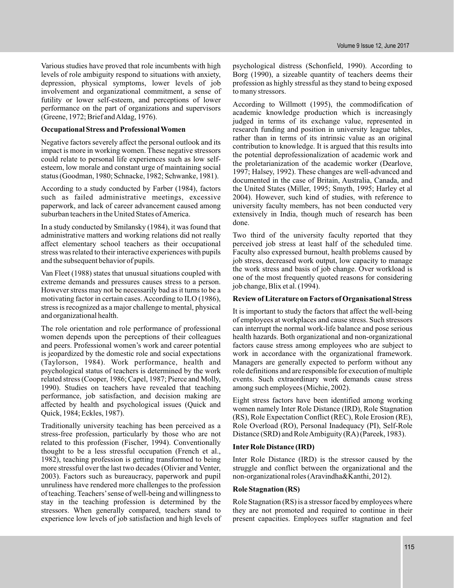Various studies have proved that role incumbents with high levels of role ambiguity respond to situations with anxiety, depression, physical symptoms, lower levels of job involvement and organizational commitment, a sense of futility or lower self-esteem, and perceptions of lower performance on the part of organizations and supervisors (Greene, 1972; Brief andAldag, 1976).

#### **Occupational Stress and Professional Women**

Negative factors severely affect the personal outlook and its impact is more in working women. These negative stressors could relate to personal life experiences such as low selfesteem, low morale and constant urge of maintaining social status (Goodman, 1980; Schnacke, 1982; Schwanke, 1981).

According to a study conducted by Farber (1984), factors such as failed administrative meetings, excessive paperwork, and lack of career advancement caused among suburban teachers in the United States of America.

In a study conducted by Smilansky (1984), it was found that administrative matters and working relations did not really affect elementary school teachers as their occupational stress was related to their interactive experiences with pupils and the subsequent behavior of pupils.

Van Fleet (1988) states that unusual situations coupled with extreme demands and pressures causes stress to a person. However stress may not be necessarily bad as it turns to be a motivating factor in certain cases. According to ILO (1986), stress is recognized as a major challenge to mental, physical and organizational health.

The role orientation and role performance of professional women depends upon the perceptions of their colleagues and peers. Professional women's work and career potential is jeopardized by the domestic role and social expectations (Taylorson, 1984). Work performance, health and psychological status of teachers is determined by the work related stress (Cooper, 1986; Capel, 1987; Pierce and Molly, 1990). Studies on teachers have revealed that teaching performance, job satisfaction, and decision making are affected by health and psychological issues (Quick and Quick, 1984; Eckles, 1987).

Traditionally university teaching has been perceived as a stress-free profession, particularly by those who are not related to this profession (Fischer, 1994). Conventionally thought to be a less stressful occupation (French et al., 1982), teaching profession is getting transformed to being more stressful over the last two decades (Olivier and Venter, 2003). Factors such as bureaucracy, paperwork and pupil unruliness have rendered more challenges to the profession of teaching. Teachers'sense of well-being and willingness to stay in the teaching profession is determined by the stressors. When generally compared, teachers stand to experience low levels of job satisfaction and high levels of

psychological distress (Schonfield, 1990). According to Borg (1990), a sizeable quantity of teachers deems their profession as highly stressful as they stand to being exposed to many stressors.

According to Willmott (1995), the commodification of academic knowledge production which is increasingly judged in terms of its exchange value, represented in research funding and position in university league tables, rather than in terms of its intrinsic value as an original contribution to knowledge. It is argued that this results into the potential deprofessionalization of academic work and the proletarianization of the academic worker (Dearlove, 1997; Halsey, 1992). These changes are well-advanced and documented in the case of Britain, Australia, Canada, and the United States (Miller, 1995; Smyth, 1995; Harley et al 2004). However, such kind of studies, with reference to university faculty members, has not been conducted very extensively in India, though much of research has been done.

Two third of the university faculty reported that they perceived job stress at least half of the scheduled time. Faculty also expressed burnout, health problems caused by job stress, decreased work output, low capacity to manage the work stress and basis of job change. Over workload is one of the most frequently quoted reasons for considering job change, Blix et al. (1994).

#### **Review of Literature on Factors of Organisational Stress**

It is important to study the factors that affect the well-being of employees at workplaces and cause stress. Such stressors can interrupt the normal work-life balance and pose serious health hazards. Both organizational and non-organizational factors cause stress among employees who are subject to work in accordance with the organizational framework. Managers are generally expected to perform without any role definitions and are responsible for execution of multiple events. Such extraordinary work demands cause stress among such employees (Michie, 2002).

Eight stress factors have been identified among working women namely Inter Role Distance (IRD), Role Stagnation (RS), Role Expectation Conflict (REC), Role Erosion (RE), Role Overload (RO), Personal Inadequacy (PI), Self-Role Distance (SRD) and RoleAmbiguity (RA) (Pareek, 1983).

#### **Inter Role Distance (IRD)**

Inter Role Distance (IRD) is the stressor caused by the struggle and conflict between the organizational and the non-organizational roles (Aravindha&Kanthi, 2012).

#### **Role Stagnation (RS)**

Role Stagnation (RS) is a stressor faced by employees where they are not promoted and required to continue in their present capacities. Employees suffer stagnation and feel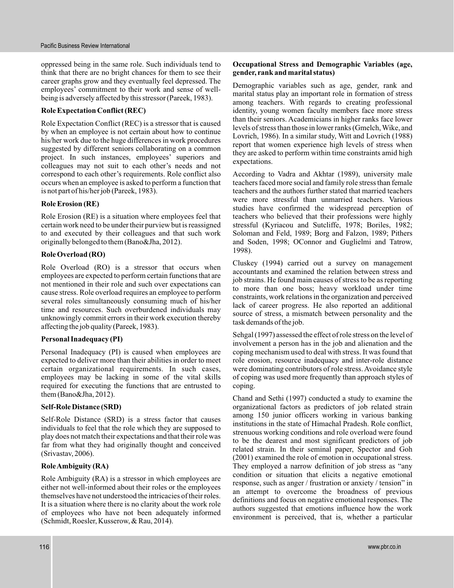oppressed being in the same role. Such individuals tend to think that there are no bright chances for them to see their career graphs grow and they eventually feel depressed. The employees' commitment to their work and sense of wellbeing is adversely affected by this stressor (Pareek, 1983).

## **Role Expectation Conflict (REC)**

Role Expectation Conflict (REC) is a stressor that is caused by when an employee is not certain about how to continue his/her work due to the huge differences in work procedures suggested by different seniors collaborating on a common project. In such instances, employees' superiors and colleagues may not suit to each other's needs and not correspond to each other's requirements. Role conflict also occurs when an employee is asked to perform a function that is not part of his/her job (Pareek, 1983).

#### **Role Erosion (RE)**

Role Erosion (RE) is a situation where employees feel that certain work need to be under their purview but is reassigned to and executed by their colleagues and that such work originally belonged to them (Bano&Jha, 2012).

#### **Role Overload (RO)**

Role Overload (RO) is a stressor that occurs when employees are expected to perform certain functions that are not mentioned in their role and such over expectations can cause stress. Role overload requires an employee to perform several roles simultaneously consuming much of his/her time and resources. Such overburdened individuals may unknowingly commit errors in their work execution thereby affecting the job quality (Pareek, 1983).

#### **Personal Inadequacy (PI)**

Personal Inadequacy (PI) is caused when employees are expected to deliver more than their abilities in order to meet certain organizational requirements. In such cases, employees may be lacking in some of the vital skills required for executing the functions that are entrusted to them (Bano&Jha, 2012).

#### **Self-Role Distance (SRD)**

Self-Role Distance (SRD) is a stress factor that causes individuals to feel that the role which they are supposed to play does not match their expectations and that their role was far from what they had originally thought and conceived (Srivastav, 2006).

## **RoleAmbiguity (RA)**

Role Ambiguity (RA) is a stressor in which employees are either not well-informed about their roles or the employees themselves have not understood the intricacies of their roles. It is a situation where there is no clarity about the work role of employees who have not been adequately informed (Schmidt, Roesler, Kusserow, & Rau, 2014).

#### **Occupational Stress and Demographic Variables (age, gender, rank and marital status)**

Demographic variables such as age, gender, rank and marital status play an important role in formation of stress among teachers. With regards to creating professional identity, young women faculty members face more stress than their seniors. Academicians in higher ranks face lower levels of stress than those in lower ranks (Gmelch, Wike, and Lovrich, 1986). In a similar study, Witt and Lovrich (1988) report that women experience high levels of stress when they are asked to perform within time constraints amid high expectations.

According to Vadra and Akhtar (1989), university male teachers faced more social and family role stress than female teachers and the authors further stated that married teachers were more stressful than unmarried teachers. Various studies have confirmed the widespread perception of teachers who believed that their professions were highly stressful (Kyriacou and Sutcliffe, 1978; Boriles, 1982; Soloman and Feld, 1989; Borg and Falzon, 1989; Pithers and Soden, 1998; OConnor and Guglielmi and Tatrow, 1998).

Cluskey (1994) carried out a survey on management accountants and examined the relation between stress and job strains. He found main causes of stress to be as reporting to more than one boss; heavy workload under time constraints, work relations in the organization and perceived lack of career progress. He also reported an additional source of stress, a mismatch between personality and the task demands of the job.

Sehgal (1997) assessed the effect of role stress on the level of involvement a person has in the job and alienation and the coping mechanism used to deal with stress. It was found that role erosion, resource inadequacy and inter-role distance were dominating contributors of role stress.Avoidance style of coping was used more frequently than approach styles of coping.

Chand and Sethi (1997) conducted a study to examine the organizational factors as predictors of job related strain among 150 junior officers working in various banking institutions in the state of Himachal Pradesh. Role conflict, strenuous working conditions and role overload were found to be the dearest and most significant predictors of job related strain. In their seminal paper, Spector and Goh (2001) examined the role of emotion in occupational stress. They employed a narrow definition of job stress as "any condition or situation that elicits a negative emotional response, such as anger / frustration or anxiety / tension" in an attempt to overcome the broadness of previous definitions and focus on negative emotional responses. The authors suggested that emotions influence how the work environment is perceived, that is, whether a particular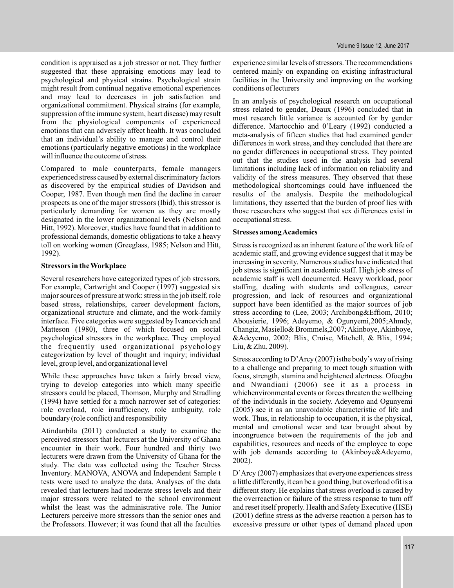condition is appraised as a job stressor or not. They further suggested that these appraising emotions may lead to psychological and physical strains. Psychological strain might result from continual negative emotional experiences and may lead to decreases in job satisfaction and organizational commitment. Physical strains (for example, suppression of the immune system, heart disease) may result from the physiological components of experienced emotions that can adversely affect health. It was concluded that an individual's ability to manage and control their emotions (particularly negative emotions) in the workplace will influence the outcome of stress.

Compared to male counterparts, female managers experienced stress caused by external discriminatory factors as discovered by the empirical studies of Davidson and Cooper, 1987. Even though men find the decline in career prospects as one of the major stressors (Ibid), this stressor is particularly demanding for women as they are mostly designated in the lower organizational levels (Nelson and Hitt, 1992). Moreover, studies have found that in addition to professional demands, domestic obligations to take a heavy toll on working women (Greeglass, 1985; Nelson and Hitt, 1992).

#### **Stressors in the Workplace**

Several researchers have categorized types of job stressors. For example, Cartwright and Cooper (1997) suggested six major sources of pressure at work: stress in the job itself, role based stress, relationships, career development factors, organizational structure and climate, and the work-family interface. Five categories were suggested by Ivancevich and Matteson (1980), three of which focused on social psychological stressors in the workplace. They employed the frequently used organizational psychology categorization by level of thought and inquiry; individual level, group level, and organizational level

While these approaches have taken a fairly broad view, trying to develop categories into which many specific stressors could be placed, Thomson, Murphy and Stradling (1994) have settled for a much narrower set of categories: role overload, role insufficiency, role ambiguity, role boundary (role conflict) and responsibility

Atindanbila (2011) conducted a study to examine the perceived stressors that lecturers at the University of Ghana encounter in their work. Four hundred and thirty two lecturers were drawn from the University of Ghana for the study. The data was collected using the Teacher Stress Inventory. MANOVA, ANOVA and Independent Sample t tests were used to analyze the data. Analyses of the data revealed that lecturers had moderate stress levels and their major stressors were related to the school environment whilst the least was the administrative role. The Junior Lecturers perceive more stressors than the senior ones and the Professors. However; it was found that all the faculties

experience similar levels of stressors. The recommendations centered mainly on expanding on existing infrastructural facilities in the University and improving on the working conditions of lecturers

In an analysis of psychological research on occupational stress related to gender, Deaux (1996) concluded that in most research little variance is accounted for by gender difference. Martocchio and 0'Leary (1992) conducted a meta-analysis of fifteen studies that had examined gender differences in work stress, and they concluded that there are no gender differences in occupational stress. They pointed out that the studies used in the analysis had several limitations including lack of information on reliability and validity of the stress measures. They observed that these methodological shortcomings could have influenced the results of the analysis. Despite the methodological limitations, they asserted that the burden of proof lies with those researchers who suggest that sex differences exist in occupational stress.

#### **Stresses amongAcademics**

Stress is recognized as an inherent feature of the work life of academic staff, and growing evidence suggest that it may be increasing in severity. Numerous studies have indicated that job stress is significant in academic staff. High job stress of academic staff is well documented. Heavy workload, poor staffing, dealing with students and colleagues, career progression, and lack of resources and organizational support have been identified as the major sources of job stress according to (Lee, 2003; Archibong&Effiom, 2010; Abousierie, 1996; Adeyemo, & Ogunyemi,2005;Ahmdy, Changiz, Masiello& Brommels, 2007; Akinboye, Akinboye, &Adeyemo, 2002; Blix, Cruise, Mitchell, & Blix, 1994; Liu, & Zhu, 2009).

Stress according to D'Arcy (2007) isthe body's way of rising to a challenge and preparing to meet tough situation with focus, strength, stamina and heightened alertness. Ofoegbu and Nwandiani (2006) see it as a process in whichenvironmental events or forces threaten the wellbeing of the individuals in the society. Adeyemo and Ogunyemi (2005) see it as an unavoidable characteristic of life and work. Thus, in relationship to occupation, it is the physical, mental and emotional wear and tear brought about by incongruence between the requirements of the job and capabilities, resources and needs of the employee to cope with job demands according to (Akinboye&Adeyemo, 2002).

D'Arcy (2007) emphasizes that everyone experiences stress a little differently, it can be a good thing, but overload ofit is a different story. He explains that stress overload is caused by the overreaction or failure of the stress response to turn off and reset itself properly. Health and Safety Executive (HSE) (2001) define stress as the adverse reaction a person has to excessive pressure or other types of demand placed upon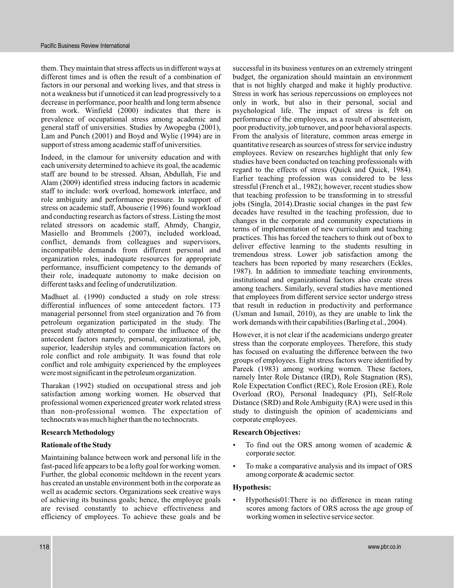them. They maintain that stress affects us in different ways at different times and is often the result of a combination of factors in our personal and working lives, and that stress is not a weakness but if unnoticed it can lead progressively to a decrease in performance, poor health and long term absence from work. Winfield (2000) indicates that there is prevalence of occupational stress among academic and general staff of universities. Studies by Awopegba (2001), Lam and Punch (2001) and Boyd and Wylie (1994) are in support of stress among academic staff of universities.

Indeed, in the clamour for university education and with each university determined to achieve its goal, the academic staff are bound to be stressed. Ahsan, Abdullah, Fie and Alam (2009) identified stress inducing factors in academic staff to include: work overload, homework interface, and role ambiguity and performance pressure. In support of stress on academic staff, Abouserie (1996) found workload and conducting research as factors of stress. Listing the most related stressors on academic staff, Ahmdy, Changiz, Masiello and Brommels (2007), included workload, conflict, demands from colleagues and supervisors, incompatible demands from different personal and organization roles, inadequate resources for appropriate performance, insufficient competency to the demands of their role, inadequate autonomy to make decision on different tasks and feeling of underutilization.

Madhuet al. (1990) conducted a study on role stress: differential influences of some antecedent factors. 173 managerial personnel from steel organization and 76 from petroleum organization participated in the study. The present study attempted to compare the influence of the antecedent factors namely, personal, organizational, job, superior, leadership styles and communication factors on role conflict and role ambiguity. It was found that role conflict and role ambiguity experienced by the employees were most significant in the petroleum organization.

Tharakan (1992) studied on occupational stress and job satisfaction among working women. He observed that professional women experienced greater work related stress than non-professional women. The expectation of technocrats was much higher than the no technocrats.

## **Research Methodology**

#### **Rationale of the Study**

Maintaining balance between work and personal life in the fast-paced life appears to be a lofty goal for working women. Further, the global economic meltdown in the recent years has created an unstable environment both in the corporate as well as academic sectors. Organizations seek creative ways of achieving its business goals; hence, the employee goals are revised constantly to achieve effectiveness and efficiency of employees. To achieve these goals and be

successful in its business ventures on an extremely stringent budget, the organization should maintain an environment that is not highly charged and make it highly productive. Stress in work has serious repercussions on employees not only in work, but also in their personal, social and psychological life. The impact of stress is felt on performance of the employees, as a result of absenteeism, poor productivity, job turnover, and poor behavioral aspects. From the analysis of literature, common areas emerge in quantitative research as sources of stress for service industry employees. Review on researches highlight that only few studies have been conducted on teaching professionals with regard to the effects of stress (Quick and Quick, 1984). Earlier teaching profession was considered to be less stressful (French et al., 1982); however, recent studies show that teaching profession to be transforming in to stressful jobs (Singla, 2014).Drastic social changes in the past few decades have resulted in the teaching profession, due to changes in the corporate and community expectations in terms of implementation of new curriculum and teaching practices. This has forced the teachers to think out of box to deliver effective learning to the students resulting in tremendous stress. Lower job satisfaction among the teachers has been reported by many researchers (Eckles, 1987). In addition to immediate teaching environments, institutional and organizational factors also create stress among teachers. Similarly, several studies have mentioned that employees from different service sector undergo stress that result in reduction in productivity and performance (Usman and Ismail, 2010), as they are unable to link the work demands with their capabilities (Barling et al., 2004).

However, it is not clear if the academicians undergo greater stress than the corporate employees. Therefore, this study has focused on evaluating the difference between the two groups of employees. Eight stress factors were identified by Pareek (1983) among working women. These factors, namely Inter Role Distance (IRD), Role Stagnation (RS), Role Expectation Conflict (REC), Role Erosion (RE), Role Overload (RO), Personal Inadequacy (PI), Self-Role Distance (SRD) and Role Ambiguity (RA) were used in this study to distinguish the opinion of academicians and corporate employees.

#### **Research Objectives:**

- To find out the ORS among women of academic & corporate sector. .
- To make a comparative analysis and its impact of ORS among corporate & academic sector.  $\bullet$

#### **Hypothesis:**

Hypothesis01:There is no difference in mean rating scores among factors of ORS across the age group of working women in selective service sector. .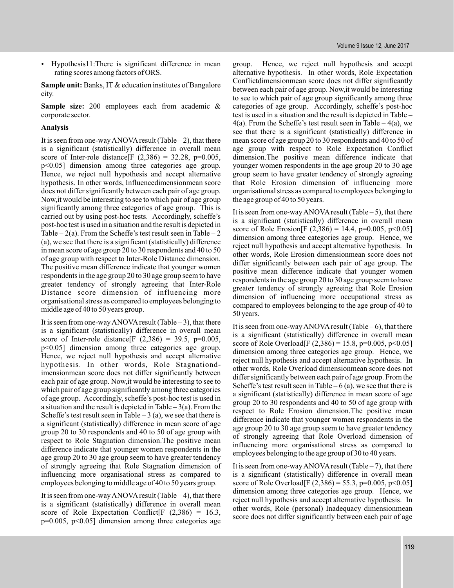Hypothesis11:There is significant difference in mean rating scores among factors of ORS.

Sample unit: Banks, IT & education institutes of Bangalore city.

Sample size: 200 employees each from academic & corporate sector.

#### **Analysis**

It is seen from one-way ANOVA result (Table  $-2$ ), that there is a significant (statistically) difference in overall mean score of Inter-role distance  $[F (2, 386) = 32.28, p=0.005,$ p<0.05] dimension among three categories age group. Hence, we reject null hypothesis and accept alternative hypothesis. In other words, Influencedimensionmean score does not differ significantly between each pair of age group. Now,it would be interesting to see to which pair of age group significantly among three categories of age group. This is carried out by using post-hoc tests. Accordingly, scheffe's post-hoc test is used in a situation and the result is depicted in Table –  $2(a)$ . From the Scheffe's test result seen in Table – 2 (a), we see that there is a significant (statistically) difference in mean score of age group 20 to 30 respondents and 40 to 50 of age group with respect to Inter-Role Distance dimension. The positive mean difference indicate that younger women respondents in the age group 20 to 30 age group seem to have greater tendency of strongly agreeing that Inter-Role Distance score dimension of influencing more organisational stress as compared to employees belonging to middle age of 40 to 50 years group.

It is seen from one-way ANOVA result (Table  $-3$ ), that there is a significant (statistically) difference in overall mean score of Inter-role distance<sup>[F (2,386) = 39.5, p=0.005</sup>, p<0.05] dimension among three categories age group. Hence, we reject null hypothesis and accept alternative hypothesis. In other words, Role Stagnationdimensionmean score does not differ significantly between each pair of age group. Now,it would be interesting to see to which pair of age group significantly among three categories of age group. Accordingly, scheffe's post-hoc test is used in a situation and the result is depicted in Table  $-3(a)$ . From the Scheffe's test result seen in Table  $-3$  (a), we see that there is a significant (statistically) difference in mean score of age group 20 to 30 respondents and 40 to 50 of age group with respect to Role Stagnation dimension.The positive mean difference indicate that younger women respondents in the age group 20 to 30 age group seem to have greater tendency of strongly agreeing that Role Stagnation dimension of influencing more organisational stress as compared to employees belonging to middle age of 40 to 50 years group.

It is seen from one-way ANOVA result (Table  $-4$ ), that there is a significant (statistically) difference in overall mean score of Role Expectation Conflict  $[F (2,386) = 16.3]$  $p=0.005$ ,  $p<0.05$ ] dimension among three categories age

group. Hence, we reject null hypothesis and accept alternative hypothesis. In other words, Role Expectation Conflictdimensionmean score does not differ significantly between each pair of age group. Now,it would be interesting to see to which pair of age group significantly among three categories of age group. Accordingly, scheffe's post-hoc test is used in a situation and the result is depicted in Table –  $4(a)$ . From the Scheffe's test result seen in Table –  $4(a)$ , we see that there is a significant (statistically) difference in mean score of age group 20 to 30 respondents and 40 to 50 of age group with respect to Role Expectation Conflict dimension.The positive mean difference indicate that younger women respondents in the age group 20 to 30 age group seem to have greater tendency of strongly agreeing that Role Erosion dimension of influencing more organisational stress as compared to employees belonging to the age group of 40 to 50 years.

It is seen from one-way ANOVA result (Table  $-5$ ), that there is a significant (statistically) difference in overall mean score of Role Erosion  $[F (2,386) = 14.4, p=0.005, p<0.05]$ dimension among three categories age group. Hence, we reject null hypothesis and accept alternative hypothesis. In other words, Role Erosion dimensionmean score does not differ significantly between each pair of age group. The positive mean difference indicate that younger women respondents in the age group 20 to 30 age group seem to have greater tendency of strongly agreeing that Role Erosion dimension of influencing more occupational stress as compared to employees belonging to the age group of 40 to 50 years.

It is seen from one-way ANOVA result (Table  $-6$ ), that there is a significant (statistically) difference in overall mean score of Role Overload[F  $(2,386) = 15.8$ , p=0.005, p<0.05] dimension among three categories age group. Hence, we reject null hypothesis and accept alternative hypothesis. In other words, Role Overload dimensionmean score does not differ significantly between each pair of age group. From the Scheffe's test result seen in Table  $-6$  (a), we see that there is a significant (statistically) difference in mean score of age group 20 to 30 respondents and 40 to 50 of age group with respect to Role Erosion dimension.The positive mean difference indicate that younger women respondents in the age group 20 to 30 age group seem to have greater tendency of strongly agreeing that Role Overload dimension of influencing more organisational stress as compared to employees belonging to the age group of 30 to 40 years.

It is seen from one-way ANOVA result (Table  $-7$ ), that there is a significant (statistically) difference in overall mean score of Role Overload[F  $(2,386) = 55.3$ , p=0.005, p<0.05] dimension among three categories age group. Hence, we reject null hypothesis and accept alternative hypothesis. In other words, Role (personal) Inadequacy dimensionmean score does not differ significantly between each pair of age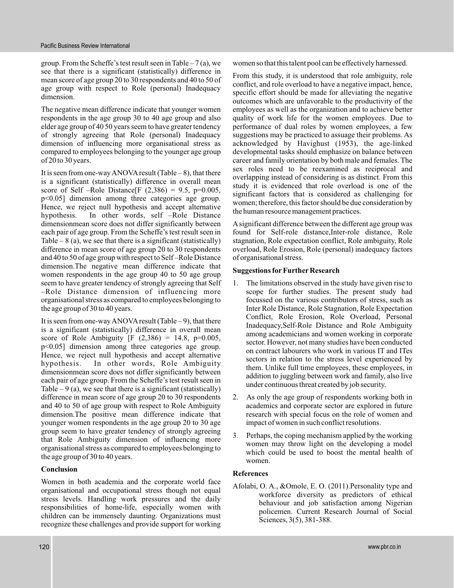group. From the Scheffe's test result seen in Table – 7(a), we see that there is a significant (statistically) difference in mean score of age group 20 to 30 respondents and 40 to 50 of age group with respect to Role (personal) Inadequacy dimension.

The negative mean difference indicate that younger women respondents in the age group 30 to 40 age group and also elder age group of 40 50 years seem to have greater tendency of strongly agreeing that Role (personal) Inadequacy dimension of influencing more organisational stress as compared to employees belonging to the younger age group of 20 to 30 years.

It is seen from one-way ANOVA result (Table  $-8$ ), that there is a significant (statistically) difference in overall mean score of Self –Role Distance<sup>[F (2,386) = 9.5, p=0.005</sup>, p<0.05] dimension among three categories age group. Hence, we reject null hypothesis and accept alternative hypothesis. In other words, self –Role Distance dimensionmean score does not differ significantly between each pair of age group. From the Scheffe's test result seen in Table  $-8$  (a), we see that there is a significant (statistically) difference in mean score of age group 20 to 30 respondents and 40 to 50 of age group with respect to Self –Role Distance dimension.The negative mean difference indicate that women respondents in the age group 40 to 50 age group seem to have greater tendency of strongly agreeing that Self –Role Distance dimension of influencing more organisational stress as compared to employees belonging to the age group of 30 to 40 years.

It is seen from one-way ANOVA result (Table  $-9$ ), that there is a significant (statistically) difference in overall mean score of Role Ambiguity  $[F (2,386) = 14.8, p=0.005,$ p<0.05] dimension among three categories age group. Hence, we reject null hypothesis and accept alternative hypothesis. In other words, Role Ambiguity dimensionmean score does not differ significantly between each pair of age group. From the Scheffe's test result seen in Table  $-9$  (a), we see that there is a significant (statistically) difference in mean score of age group 20 to 30 respondents and 40 to 50 of age group with respect to Role Ambiguity dimension.The positive mean difference indicate that younger women respondents in the age group 20 to 30 age group seem to have greater tendency of strongly agreeing that Role Ambiguity dimension of influencing more organisational stress as compared to employees belonging to the age group of 30 to 40 years.

## **Conclusion**

Women in both academia and the corporate world face organisational and occupational stress though not equal stress levels. Handling work pressures and the daily responsibilities of home-life, especially women with children can be immensely daunting. Organizations must recognize these challenges and provide support for working women so that this talent pool can be effectively harnessed.

From this study, it is understood that role ambiguity, role conflict, and role overload to have a negative impact, hence, specific effort should be made for alleviating the negative outcomes which are unfavorable to the productivity of the employees as well as the organization and to achieve better quality of work life for the women employees. Due to performance of dual roles by women employees, a few suggestions may be practiced to assuage their problems. As acknowledged by Havighust (1953), the age-linked developmental tasks should emphasize on balance between career and family orientation by both male and females. The sex roles need to be reexamined as reciprocal and overlapping instead of considering is as distinct. From this study it is evidenced that role overload is one of the significant factors that is considered as challenging for women; therefore, this factor should be due consideration by the human resource management practices.

Asignificant difference between the different age group was found for Self-role distance,Inter-role distance, Role stagnation, Role expectation conflict, Role ambiguity, Role overload, Role Erosion, Role (personal) inadequacy factors of organisational stress.

#### **Suggestions for Further Research**

- 1. The limitations observed in the study have given rise to scope for further studies. The present study had focussed on the various contributors of stress, such as Inter Role Distance, Role Stagnation, Role Expectation Conflict, Role Erosion, Role Overload, Personal Inadequacy,Self-Role Distance and Role Ambiguity among academicians and women working in corporate sector. However, not many studies have been conducted on contract labourers who work in various IT and ITes sectors in relation to the stress level experienced by them. Unlike full time employees, these employees, in addition to juggling between work and family, also live under continuous threat created by job security.
- 2. As only the age group of respondents working both in academics and corporate sector are explored in future research with special focus on the role of women and impact of women in such conflict resolutions.
- 3. Perhaps, the coping mechanism applied by the working women may throw light on the developing a model which could be used to boost the mental health of women.

## **References**

Afolabi, O. A., &Omole, E. O. (2011).Personality type and workforce diversity as predictors of ethical behaviour and job satisfaction among Nigerian policemen. Current Research Journal of Social Sciences, 3(5), 381-388.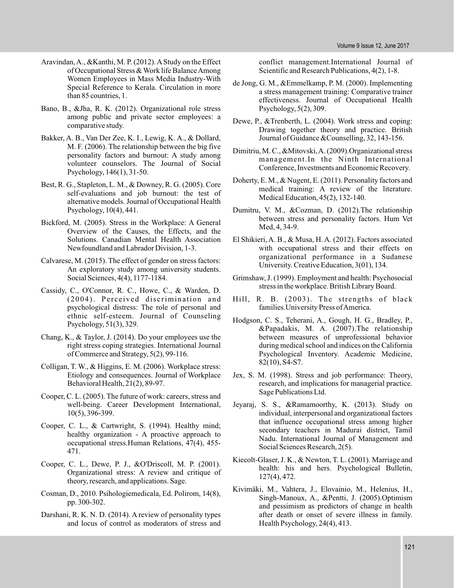- Aravindan,A., &Kanthi, M. P. (2012).A Study on the Effect of Occupational Stress & Work life BalanceAmong Women Employees in Mass Media Industry-With Special Reference to Kerala. Circulation in more than 85 countries, 1.
- Bano, B., &Jha, R. K. (2012). Organizational role stress among public and private sector employees: a comparative study.
- Bakker, A. B., Van Der Zee, K. I., Lewig, K. A., & Dollard, M. F. (2006). The relationship between the big five personality factors and burnout: A study among volunteer counselors. The Journal of Social Psychology, 146(1), 31-50.
- Best, R. G., Stapleton, L. M., & Downey, R. G. (2005). Core self-evaluations and job burnout: the test of alternative models. Journal of Occupational Health Psychology, 10(4), 441.
- Bickford, M. (2005). Stress in the Workplace: A General Overview of the Causes, the Effects, and the Solutions. Canadian Mental Health Association Newfoundland and Labrador Division, 1-3.
- Calvarese, M. (2015). The effect of gender on stress factors: An exploratory study among university students. Social Sciences, 4(4), 1177-1184.
- Cassidy, C., O'Connor, R. C., Howe, C., & Warden, D. (2004). Perceived discrimination and psychological distress: The role of personal and ethnic self-esteem. Journal of Counseling Psychology, 51(3), 329.
- Chang, K., & Taylor, J. (2014). Do your employees use the right stress coping strategies. International Journal of Commerce and Strategy, 5(2), 99-116.
- Colligan, T. W., & Higgins, E. M. (2006). Workplace stress: Etiology and consequences. Journal of Workplace Behavioral Health, 21(2), 89-97.
- Cooper, C. L. (2005). The future of work: careers, stress and well-being. Career Development International, 10(5), 396-399.
- Cooper, C. L., & Cartwright, S. (1994). Healthy mind; healthy organization - A proactive approach to occupational stress.Human Relations, 47(4), 455- 471.
- Cooper, C. L., Dewe, P. J., &O'Driscoll, M. P. (2001). Organizational stress: A review and critique of theory, research, and applications. Sage.
- Cosman, D., 2010. Psihologiemedicala, Ed. Polirom, 14(8), pp. 300-302.
- Darshani, R. K. N. D. (2014). A review of personality types and locus of control as moderators of stress and

conflict management.International Journal of Scientific and Research Publications, 4(2), 1-8.

- de Jong, G. M., &Emmelkamp, P. M. (2000). Implementing a stress management training: Comparative trainer effectiveness. Journal of Occupational Health Psychology, 5(2), 309.
- Dewe, P., &Trenberth, L. (2004). Work stress and coping: Drawing together theory and practice. British Journal of Guidance &Counselling, 32, 143-156.
- Dimitriu, M. C., &Mitovski,A. (2009).Organizational stress management.In the Ninth International Conference, Investments and Economic Recovery.
- Doherty, E. M., & Nugent, E. (2011). Personality factors and medical training: A review of the literature. Medical Education, 45(2), 132-140.
- Dumitru, V. M., &Cozman, D. (2012).The relationship between stress and personality factors. Hum Vet Med, 4, 34-9.
- El Shikieri, A. B., & Musa, H. A. (2012). Factors associated with occupational stress and their effects on organizational performance in a Sudanese University. Creative Education, 3(01), 134.
- Grimshaw, J. (1999). Employment and health: Psychosocial stress in the workplace. British Library Board.
- Hill, R. B. (2003). The strengths of black families.University Press ofAmerica.
- Hodgson, C. S., Teherani, A., Gough, H. G., Bradley, P., &Papadakis, M. A. (2007).The relationship between measures of unprofessional behavior during medical school and indices on the California Psychological Inventory. Academic Medicine, 82(10), S4-S7.
- Jex, S. M. (1998). Stress and job performance: Theory, research, and implications for managerial practice. Sage Publications Ltd.
- Jeyaraj, S. S., &Ramamoorthy, K. (2013). Study on individual, interpersonal and organizational factors that influence occupational stress among higher secondary teachers in Madurai district, Tamil Nadu. International Journal of Management and Social Sciences Research, 2(5).
- Kiecolt-Glaser, J. K., & Newton, T. L. (2001). Marriage and health: his and hers. Psychological Bulletin, 127(4), 472.
- Kivimäki, M., Vahtera, J., Elovainio, M., Helenius, H., Singh-Manoux, A., &Pentti, J. (2005).Optimism and pessimism as predictors of change in health after death or onset of severe illness in family. Health Psychology, 24(4), 413.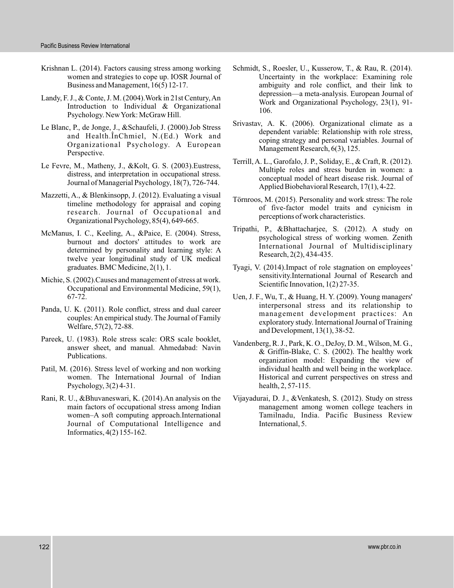- Krishnan L. (2014). Factors causing stress among working women and strategies to cope up. IOSR Journal of Business and Management, 16(5) 12-17.
- Landy, F. J., & Conte, J. M. (2004).Work in 21st Century,An Introduction to Individual & Organizational Psychology. NewYork: McGraw Hill.
- Le Blanc, P., de Jonge, J., &Schaufeli, J. (2000).Job Stress and Health.ÎnChmiel, N.(Ed.) Work and Organizational Psychology. A European Perspective.
- Le Fevre, M., Matheny, J., &Kolt, G. S. (2003).Eustress, distress, and interpretation in occupational stress. Journal of Managerial Psychology, 18(7), 726-744.
- Mazzetti, A., & Blenkinsopp, J. (2012). Evaluating a visual timeline methodology for appraisal and coping research. Journal of Occupational and Organizational Psychology, 85(4), 649-665.
- McManus, I. C., Keeling, A., &Paice, E. (2004). Stress, burnout and doctors' attitudes to work are determined by personality and learning style: A twelve year longitudinal study of UK medical graduates. BMC Medicine, 2(1), 1.
- Michie, S. (2002).Causes and management of stress at work. Occupational and Environmental Medicine, 59(1), 67-72.
- Panda, U. K. (2011). Role conflict, stress and dual career couples: An empirical study. The Journal of Family Welfare, 57(2), 72-88.
- Pareek, U. (1983). Role stress scale: ORS scale booklet, answer sheet, and manual. Ahmedabad: Navin Publications.
- Patil, M. (2016). Stress level of working and non working women. The International Journal of Indian Psychology, 3(2) 4-31.
- Rani, R. U., &Bhuvaneswari, K. (2014).An analysis on the main factors of occupational stress among Indian women–A soft computing approach.International Journal of Computational Intelligence and Informatics, 4(2) 155-162.
- Schmidt, S., Roesler, U., Kusserow, T., & Rau, R. (2014). Uncertainty in the workplace: Examining role ambiguity and role conflict, and their link to depression—a meta-analysis. European Journal of Work and Organizational Psychology, 23(1), 91- 106.
- Srivastav, A. K. (2006). Organizational climate as a dependent variable: Relationship with role stress, coping strategy and personal variables. Journal of Management Research, 6(3), 125.
- Terrill, A. L., Garofalo, J. P., Soliday, E., & Craft, R. (2012). Multiple roles and stress burden in women: a conceptual model of heart disease risk. Journal of Applied Biobehavioral Research, 17(1), 4-22.
- Törnroos, M. (2015). Personality and work stress: The role of five-factor model traits and cynicism in perceptions of work characteristics.
- Tripathi, P., &Bhattacharjee, S. (2012). A study on psychological stress of working women. Zenith International Journal of Multidisciplinary Research, 2(2), 434-435.
- Tyagi, V. (2014).Impact of role stagnation on employees' sensitivity.International Journal of Research and Scientific Innovation,  $1(2)$  27-35.
- Uen, J. F., Wu, T., & Huang, H. Y. (2009). Young managers' interpersonal stress and its relationship to management development practices: An exploratory study. International Journal of Training and Development, 13(1), 38-52.
- Vandenberg, R. J., Park, K. O., DeJoy, D. M., Wilson, M. G., & Griffin-Blake, C. S. (2002). The healthy work organization model: Expanding the view of individual health and well being in the workplace. Historical and current perspectives on stress and health, 2, 57-115.
- Vijayadurai, D. J., &Venkatesh, S. (2012). Study on stress management among women college teachers in Tamilnadu, India. Pacific Business Review International, 5.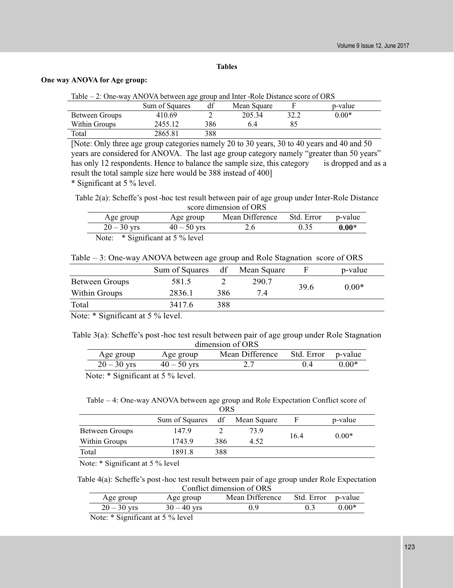## **Tables**

#### **One way ANOVA for Age group:**

| Table – 2: One-way ANOVA between age group and Inter-Role Distance score of ORS |
|---------------------------------------------------------------------------------|
|                                                                                 |

|                | Sum of Squares | df  | Mean Square |      | p-value |
|----------------|----------------|-----|-------------|------|---------|
| Between Groups | 410.69         |     | 205.34      | 32.2 | $0.00*$ |
| Within Groups  | 2455.12        | 386 | 6.4         |      |         |
| Total          | 2865.81        | 388 |             |      |         |

[Note: Only three age group categories namely 20 to 30 years, 30 to 40 years and 40 and 50 years are considered for ANOVA. The last age group category namely "greater than 50 years" has only 12 respondents. Hence to balance the sample size, this category is dropped and as a result the total sample size here would be 388 instead of 400]

\* Significant at 5 % level.

Table 2(a): Scheffe's post -hoc test result between pair of age group under Inter-Role Distance score dimension of ORS

| Age group     | Age group                  | Mean Difference | Std. Error | p-value |
|---------------|----------------------------|-----------------|------------|---------|
| $20 - 30$ yrs | $40 - 50$ yrs              | 2.6             | 0.35       | $0.00*$ |
| Note:         | * Significant at 5 % level |                 |            |         |

Table – 3: One-way ANOVA between age group and Role Stagnation score of ORS

|                | Sum of Squares df |     | Mean Square | F    | p-value |
|----------------|-------------------|-----|-------------|------|---------|
| Between Groups | 581.5             |     | 290.7       |      | $0.00*$ |
| Within Groups  | 2836.1            | 386 | 7.4         | 39.6 |         |
| Total          | 3417.6            | 388 |             |      |         |
|                |                   |     |             |      |         |

Note: \* Significant at 5 % level.

Table 3(a): Scheffe's post -hoc test result between pair of age group under Role Stagnation dimension of ORS

| Age group     | Age group     | Mean Difference | Std. Error p-value |         |  |  |
|---------------|---------------|-----------------|--------------------|---------|--|--|
| $20 - 30$ yrs | $40 - 50$ yrs |                 |                    | $0.00*$ |  |  |
|               |               |                 |                    |         |  |  |

Note: \* Significant at 5 % level.

Table – 4: One-way ANOVA between age group and Role Expectation Conflict score of

| <b>ORS</b>     |                |     |             |      |         |
|----------------|----------------|-----|-------------|------|---------|
|                | Sum of Squares | df  | Mean Square |      | p-value |
| Between Groups | 147.9          |     | 73.9        | 16.4 | $0.00*$ |
| Within Groups  | 1743.9         | 386 | 4.52        |      |         |
| Total          | 1891.8         | 388 |             |      |         |

Note: \* Significant at 5 % level

Table 4(a): Scheffe's post -hoc test result between pair of age group under Role Expectation Conflict dimension of ORS

| Age group     | Age group     | Mean Difference | Std. Error p-value |         |
|---------------|---------------|-----------------|--------------------|---------|
| $20 - 30$ yrs | $30 - 40$ yrs | n o             |                    | $0.00*$ |

Note: \* Significant at 5 % level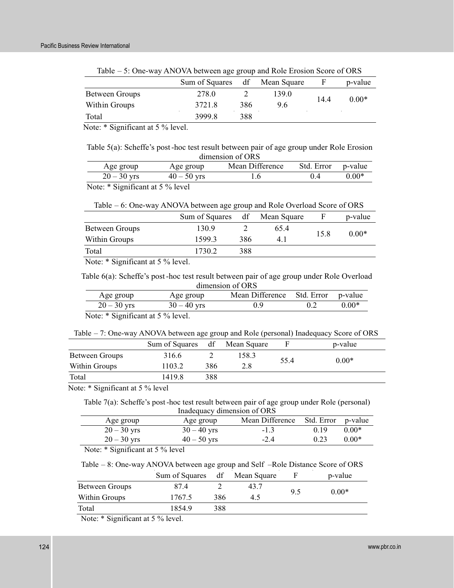Table – 5: One-way ANOVA between age group and Role Erosion Score of ORS

|                | Sum of Squares |     | df Mean Square | F    | p-value |
|----------------|----------------|-----|----------------|------|---------|
| Between Groups | 278.0          |     | 139.0          | 14.4 | $0.00*$ |
| Within Groups  | 3721.8         | 386 | 9.6            |      |         |
| Total          | 3999.8         | 388 |                |      |         |

Note: \* Significant at 5 % level.

Table 5(a): Scheffe's post -hoc test result between pair of age group under Role Erosion dimension of ORS

| Age group                                                                                                                                                                                                                                                                                                                          | Age group     | Mean Difference | Std. Error p-value |         |
|------------------------------------------------------------------------------------------------------------------------------------------------------------------------------------------------------------------------------------------------------------------------------------------------------------------------------------|---------------|-----------------|--------------------|---------|
| $20 - 30$ yrs                                                                                                                                                                                                                                                                                                                      | $40 - 50$ yrs | l.6             | (14)               | $0.00*$ |
| $\mathbf{M}$ $\mathbf{A}$ $\mathbf{A}$ $\mathbf{A}$ $\mathbf{A}$ $\mathbf{A}$ $\mathbf{A}$ $\mathbf{A}$ $\mathbf{A}$ $\mathbf{A}$ $\mathbf{A}$ $\mathbf{A}$ $\mathbf{A}$ $\mathbf{A}$ $\mathbf{A}$ $\mathbf{A}$ $\mathbf{A}$ $\mathbf{A}$ $\mathbf{A}$ $\mathbf{A}$ $\mathbf{A}$ $\mathbf{A}$ $\mathbf{A}$ $\mathbf{A}$ $\mathbf{$ |               |                 |                    |         |

Note: \* Significant at 5 % level

| Table $-6$ : One-way ANOVA between age group and Role Overload Score of ORS |                               |     |      |      |         |  |
|-----------------------------------------------------------------------------|-------------------------------|-----|------|------|---------|--|
|                                                                             | Sum of Squares df Mean Square |     |      | -F   | p-value |  |
| Between Groups                                                              | 130.9                         |     | 65.4 | 15.8 | $0.00*$ |  |
| Within Groups                                                               | 1599.3                        | 386 | 4.1  |      |         |  |
| Total                                                                       | 1730.2                        | 388 |      |      |         |  |

Note: \* Significant at 5 % level.

Table 6(a): Scheffe's post -hoc test result between pair of age group under Role Overload dimension of ORS

| Age group     | Age group     | Mean Difference Std. Error p-value |     |         |
|---------------|---------------|------------------------------------|-----|---------|
| $20 - 30$ yrs | $30 - 40$ yrs | 0.9                                | 0.2 | $0.00*$ |
|               |               |                                    |     |         |

Note: \* Significant at 5 % level.

Table – 7: One-way ANOVA between age group and Role (personal) Inadequacy Score of ORS

|                | Sum of Squares df Mean Square |     |       | F    | p-value |
|----------------|-------------------------------|-----|-------|------|---------|
| Between Groups | 316.6                         |     | 158.3 |      |         |
| Within Groups  | 1103.2                        | 386 | 2.8   | 55.4 | $0.00*$ |
| Total          | 1419.8                        | 388 |       |      |         |

Note: \* Significant at 5 % level

Table 7(a): Scheffe's post -hoc test result between pair of age group under Role (personal) Inadequacy dimension of ORS

| madequae y uniferision of ORD |                                                                                                                                                                                                                                                                                                                                    |               |                 |                    |         |  |  |
|-------------------------------|------------------------------------------------------------------------------------------------------------------------------------------------------------------------------------------------------------------------------------------------------------------------------------------------------------------------------------|---------------|-----------------|--------------------|---------|--|--|
|                               | Age group                                                                                                                                                                                                                                                                                                                          | Age group     | Mean Difference | Std. Error p-value |         |  |  |
|                               | $20 - 30$ yrs                                                                                                                                                                                                                                                                                                                      | $30 - 40$ yrs | $-1.3$          | 0.19               | $0.00*$ |  |  |
|                               | $20 - 30$ yrs                                                                                                                                                                                                                                                                                                                      | $40 - 50$ yrs | $-2.4$          | 0.23               | $0.00*$ |  |  |
|                               | $\mathbf{M}$ $\mathbf{A}$ $\mathbf{A}$ $\mathbf{A}$ $\mathbf{A}$ $\mathbf{A}$ $\mathbf{A}$ $\mathbf{A}$ $\mathbf{A}$ $\mathbf{A}$ $\mathbf{A}$ $\mathbf{A}$ $\mathbf{A}$ $\mathbf{A}$ $\mathbf{A}$ $\mathbf{A}$ $\mathbf{A}$ $\mathbf{A}$ $\mathbf{A}$ $\mathbf{A}$ $\mathbf{A}$ $\mathbf{A}$ $\mathbf{A}$ $\mathbf{A}$ $\mathbf{$ |               |                 |                    |         |  |  |

Note: \* Significant at 5 % level

Table – 8: One-way ANOVA between age group and Self –Role Distance Score of ORS

|                | Sum of Squares | df  | Mean Square |     | p-value |
|----------------|----------------|-----|-------------|-----|---------|
| Between Groups | 87.4           |     | 43.7        | 9.5 | $0.00*$ |
| Within Groups  | 1767.5         | 386 | 4.5         |     |         |
| Total          | 1854.9         | 388 |             |     |         |

Note: \* Significant at 5 % level.